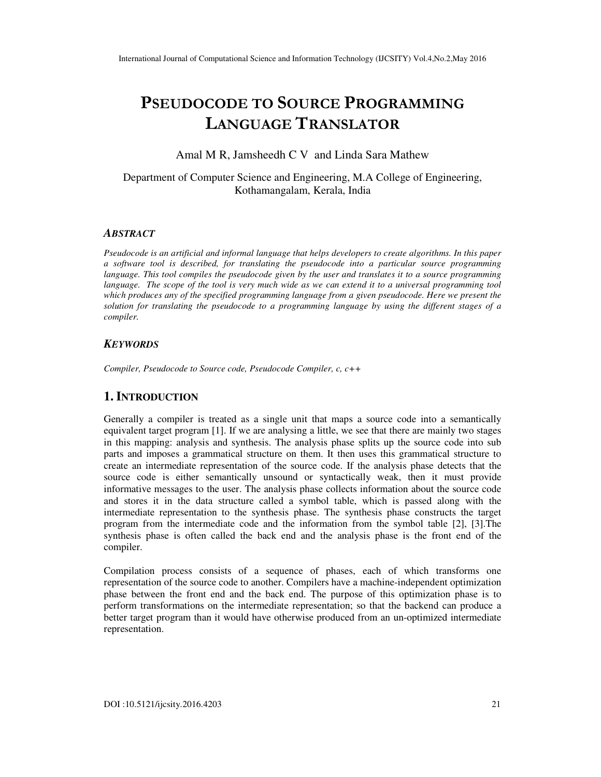# **PSEUDOCODE TO SOURCE PROGRAMMING LANGUAGE TRANSLATOR**

Amal M R, Jamsheedh C V and Linda Sara Mathew

Department of Computer Science and Engineering, M.A College of Engineering, Kothamangalam, Kerala, India

#### *ABSTRACT*

*Pseudocode is an artificial and informal language that helps developers to create algorithms. In this paper a software tool is described, for translating the pseudocode into a particular source programming language. This tool compiles the pseudocode given by the user and translates it to a source programming language. The scope of the tool is very much wide as we can extend it to a universal programming tool which produces any of the specified programming language from a given pseudocode. Here we present the solution for translating the pseudocode to a programming language by using the different stages of a compiler.*

#### *KEYWORDS*

*Compiler, Pseudocode to Source code, Pseudocode Compiler, c, c++* 

#### **1. INTRODUCTION**

Generally a compiler is treated as a single unit that maps a source code into a semantically equivalent target program [1]. If we are analysing a little, we see that there are mainly two stages in this mapping: analysis and synthesis. The analysis phase splits up the source code into sub parts and imposes a grammatical structure on them. It then uses this grammatical structure to create an intermediate representation of the source code. If the analysis phase detects that the source code is either semantically unsound or syntactically weak, then it must provide informative messages to the user. The analysis phase collects information about the source code and stores it in the data structure called a symbol table, which is passed along with the intermediate representation to the synthesis phase. The synthesis phase constructs the target program from the intermediate code and the information from the symbol table [2], [3].The synthesis phase is often called the back end and the analysis phase is the front end of the compiler.

Compilation process consists of a sequence of phases, each of which transforms one representation of the source code to another. Compilers have a machine-independent optimization phase between the front end and the back end. The purpose of this optimization phase is to perform transformations on the intermediate representation; so that the backend can produce a better target program than it would have otherwise produced from an un-optimized intermediate representation.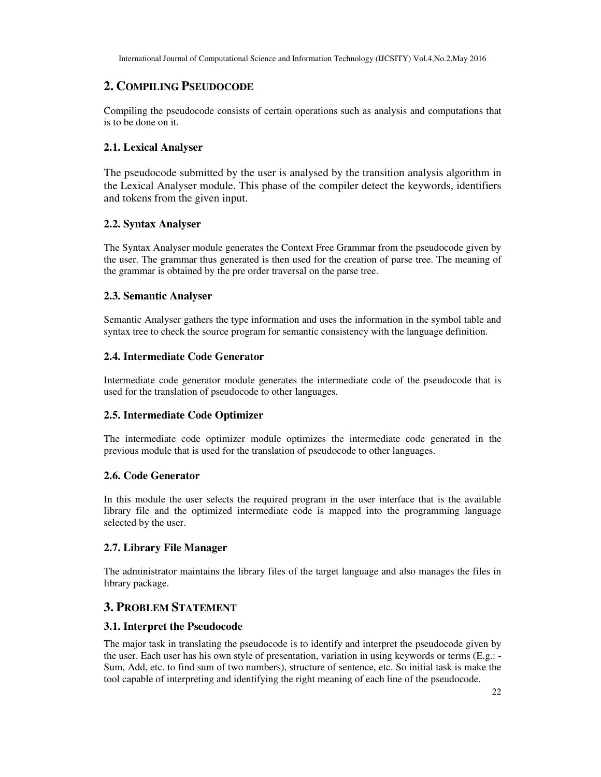# **2. COMPILING PSEUDOCODE**

Compiling the pseudocode consists of certain operations such as analysis and computations that is to be done on it.

# **2.1. Lexical Analyser**

The pseudocode submitted by the user is analysed by the transition analysis algorithm in the Lexical Analyser module. This phase of the compiler detect the keywords, identifiers and tokens from the given input.

# **2.2. Syntax Analyser**

The Syntax Analyser module generates the Context Free Grammar from the pseudocode given by the user. The grammar thus generated is then used for the creation of parse tree. The meaning of the grammar is obtained by the pre order traversal on the parse tree.

# **2.3. Semantic Analyser**

Semantic Analyser gathers the type information and uses the information in the symbol table and syntax tree to check the source program for semantic consistency with the language definition.

# **2.4. Intermediate Code Generator**

Intermediate code generator module generates the intermediate code of the pseudocode that is used for the translation of pseudocode to other languages.

# **2.5. Intermediate Code Optimizer**

The intermediate code optimizer module optimizes the intermediate code generated in the previous module that is used for the translation of pseudocode to other languages.

# **2.6. Code Generator**

In this module the user selects the required program in the user interface that is the available library file and the optimized intermediate code is mapped into the programming language selected by the user.

# **2.7. Library File Manager**

The administrator maintains the library files of the target language and also manages the files in library package.

# **3. PROBLEM STATEMENT**

# **3.1. Interpret the Pseudocode**

The major task in translating the pseudocode is to identify and interpret the pseudocode given by the user. Each user has his own style of presentation, variation in using keywords or terms (E.g.: - Sum, Add, etc. to find sum of two numbers), structure of sentence, etc. So initial task is make the tool capable of interpreting and identifying the right meaning of each line of the pseudocode.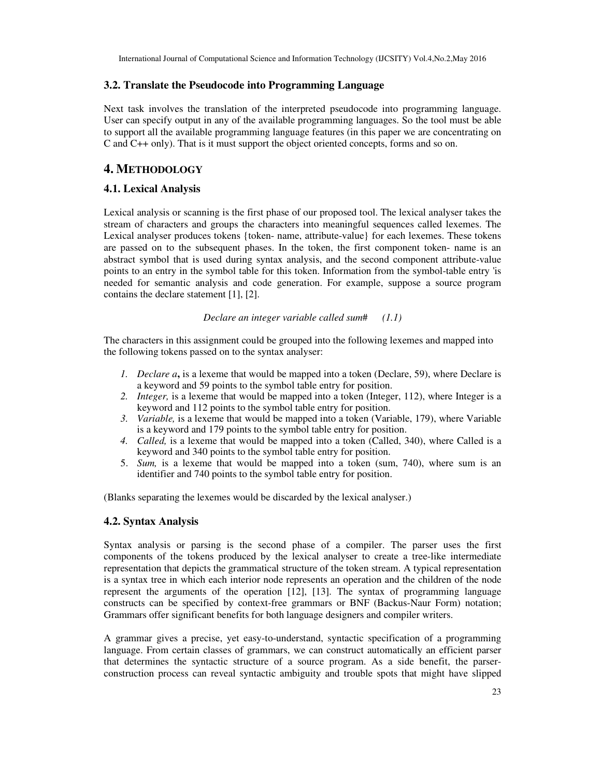#### **3.2. Translate the Pseudocode into Programming Language**

Next task involves the translation of the interpreted pseudocode into programming language. User can specify output in any of the available programming languages. So the tool must be able to support all the available programming language features (in this paper we are concentrating on C and C++ only). That is it must support the object oriented concepts, forms and so on.

# **4. METHODOLOGY**

## **4.1. Lexical Analysis**

Lexical analysis or scanning is the first phase of our proposed tool. The lexical analyser takes the stream of characters and groups the characters into meaningful sequences called lexemes. The Lexical analyser produces tokens {token- name, attribute-value} for each lexemes. These tokens are passed on to the subsequent phases. In the token, the first component token- name is an abstract symbol that is used during syntax analysis, and the second component attribute-value points to an entry in the symbol table for this token. Information from the symbol-table entry 'is needed for semantic analysis and code generation. For example, suppose a source program contains the declare statement [1], [2].

#### *Declare an integer variable called sum*# *(1.1)*

The characters in this assignment could be grouped into the following lexemes and mapped into the following tokens passed on to the syntax analyser:

- *1. Declare a***,** is a lexeme that would be mapped into a token (Declare, 59), where Declare is a keyword and 59 points to the symbol table entry for position.
- *2. Integer,* is a lexeme that would be mapped into a token (Integer, 112), where Integer is a keyword and 112 points to the symbol table entry for position.
- *3. Variable,* is a lexeme that would be mapped into a token (Variable, 179), where Variable is a keyword and 179 points to the symbol table entry for position.
- *4. Called,* is a lexeme that would be mapped into a token (Called, 340), where Called is a keyword and 340 points to the symbol table entry for position.
- 5. *Sum,* is a lexeme that would be mapped into a token (sum, 740), where sum is an identifier and 740 points to the symbol table entry for position.

(Blanks separating the lexemes would be discarded by the lexical analyser.)

#### **4.2. Syntax Analysis**

Syntax analysis or parsing is the second phase of a compiler. The parser uses the first components of the tokens produced by the lexical analyser to create a tree-like intermediate representation that depicts the grammatical structure of the token stream. A typical representation is a syntax tree in which each interior node represents an operation and the children of the node represent the arguments of the operation [12], [13]. The syntax of programming language constructs can be specified by context-free grammars or BNF (Backus-Naur Form) notation; Grammars offer significant benefits for both language designers and compiler writers.

A grammar gives a precise, yet easy-to-understand, syntactic specification of a programming language. From certain classes of grammars, we can construct automatically an efficient parser that determines the syntactic structure of a source program. As a side benefit, the parserconstruction process can reveal syntactic ambiguity and trouble spots that might have slipped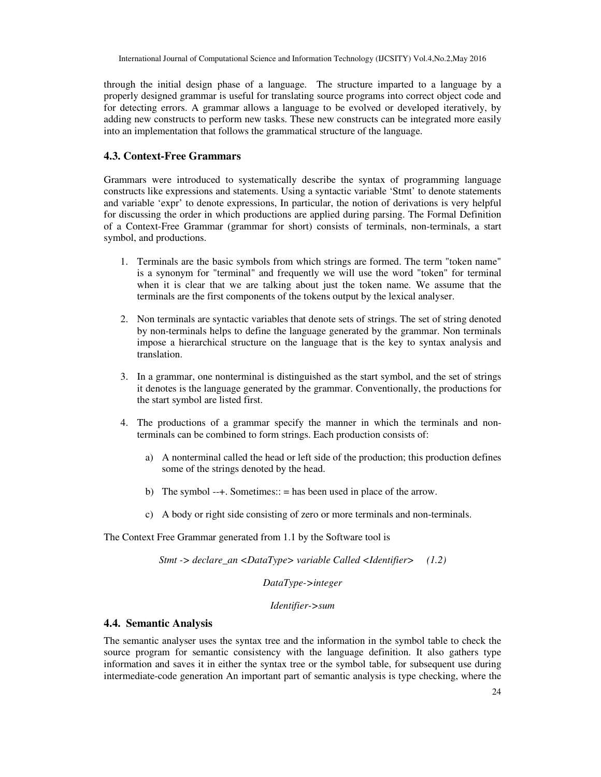through the initial design phase of a language. The structure imparted to a language by a properly designed grammar is useful for translating source programs into correct object code and for detecting errors. A grammar allows a language to be evolved or developed iteratively, by adding new constructs to perform new tasks. These new constructs can be integrated more easily into an implementation that follows the grammatical structure of the language.

# **4.3. Context-Free Grammars**

Grammars were introduced to systematically describe the syntax of programming language constructs like expressions and statements. Using a syntactic variable 'Stmt' to denote statements and variable 'expr' to denote expressions, In particular, the notion of derivations is very helpful for discussing the order in which productions are applied during parsing. The Formal Definition of a Context-Free Grammar (grammar for short) consists of terminals, non-terminals, a start symbol, and productions.

- 1. Terminals are the basic symbols from which strings are formed. The term "token name" is a synonym for "terminal" and frequently we will use the word "token" for terminal when it is clear that we are talking about just the token name. We assume that the terminals are the first components of the tokens output by the lexical analyser.
- 2. Non terminals are syntactic variables that denote sets of strings. The set of string denoted by non-terminals helps to define the language generated by the grammar. Non terminals impose a hierarchical structure on the language that is the key to syntax analysis and translation.
- 3. In a grammar, one nonterminal is distinguished as the start symbol, and the set of strings it denotes is the language generated by the grammar. Conventionally, the productions for the start symbol are listed first.
- 4. The productions of a grammar specify the manner in which the terminals and nonterminals can be combined to form strings. Each production consists of:
	- a) A nonterminal called the head or left side of the production; this production defines some of the strings denoted by the head.
	- b) The symbol --+. Sometimes:: = has been used in place of the arrow.
	- c) A body or right side consisting of zero or more terminals and non-terminals.

The Context Free Grammar generated from 1.1 by the Software tool is

*Stmt -> declare\_an <DataType> variable Called <Identifier> (1.2)* 

*DataType->integer* 

*Identifier->sum*

#### **4.4. Semantic Analysis**

The semantic analyser uses the syntax tree and the information in the symbol table to check the source program for semantic consistency with the language definition. It also gathers type information and saves it in either the syntax tree or the symbol table, for subsequent use during intermediate-code generation An important part of semantic analysis is type checking, where the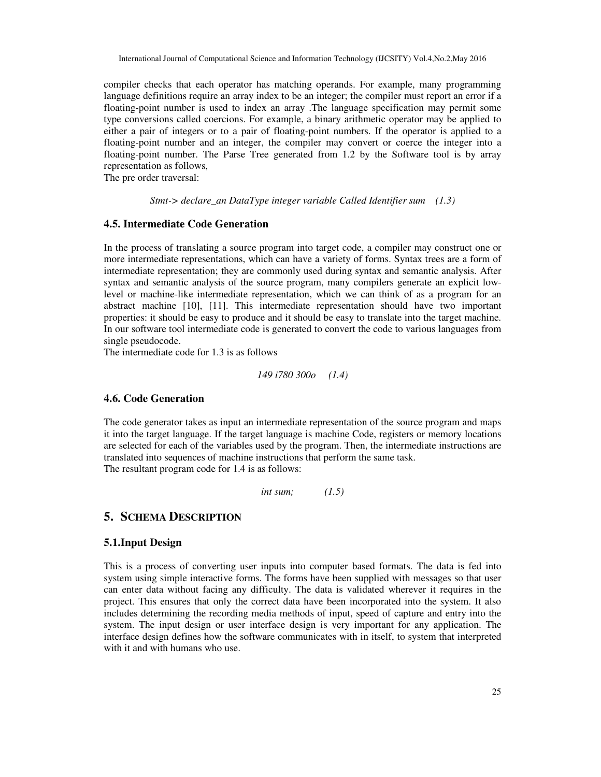compiler checks that each operator has matching operands. For example, many programming language definitions require an array index to be an integer; the compiler must report an error if a floating-point number is used to index an array .The language specification may permit some type conversions called coercions. For example, a binary arithmetic operator may be applied to either a pair of integers or to a pair of floating-point numbers. If the operator is applied to a floating-point number and an integer, the compiler may convert or coerce the integer into a floating-point number. The Parse Tree generated from 1.2 by the Software tool is by array representation as follows,

The pre order traversal:

*Stmt-> declare\_an DataType integer variable Called Identifier sum (1.3)*

#### **4.5. Intermediate Code Generation**

In the process of translating a source program into target code, a compiler may construct one or more intermediate representations, which can have a variety of forms. Syntax trees are a form of intermediate representation; they are commonly used during syntax and semantic analysis. After syntax and semantic analysis of the source program, many compilers generate an explicit lowlevel or machine-like intermediate representation, which we can think of as a program for an abstract machine [10], [11]. This intermediate representation should have two important properties: it should be easy to produce and it should be easy to translate into the target machine. In our software tool intermediate code is generated to convert the code to various languages from single pseudocode.

The intermediate code for 1.3 is as follows

*149 i780 300o (1.4)*

#### **4.6. Code Generation**

The code generator takes as input an intermediate representation of the source program and maps it into the target language. If the target language is machine Code, registers or memory locations are selected for each of the variables used by the program. Then, the intermediate instructions are translated into sequences of machine instructions that perform the same task. The resultant program code for 1.4 is as follows:

*int sum; (1.5)*

## **5. SCHEMA DESCRIPTION**

#### **5.1.Input Design**

This is a process of converting user inputs into computer based formats. The data is fed into system using simple interactive forms. The forms have been supplied with messages so that user can enter data without facing any difficulty. The data is validated wherever it requires in the project. This ensures that only the correct data have been incorporated into the system. It also includes determining the recording media methods of input, speed of capture and entry into the system. The input design or user interface design is very important for any application. The interface design defines how the software communicates with in itself, to system that interpreted with it and with humans who use.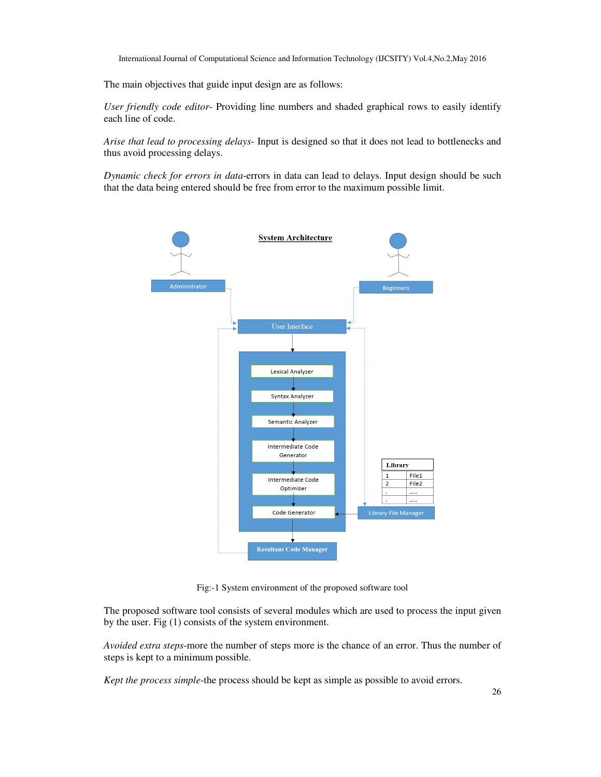The main objectives that guide input design are as follows:

*User friendly code editor*- Providing line numbers and shaded graphical rows to easily identify each line of code.

*Arise that lead to processing delays*- Input is designed so that it does not lead to bottlenecks and thus avoid processing delays.

*Dynamic check for errors in data*-errors in data can lead to delays. Input design should be such that the data being entered should be free from error to the maximum possible limit.



Fig:-1 System environment of the proposed software tool

The proposed software tool consists of several modules which are used to process the input given by the user. Fig (1) consists of the system environment.

*Avoided extra steps*-more the number of steps more is the chance of an error. Thus the number of steps is kept to a minimum possible.

*Kept the process simple*-the process should be kept as simple as possible to avoid errors.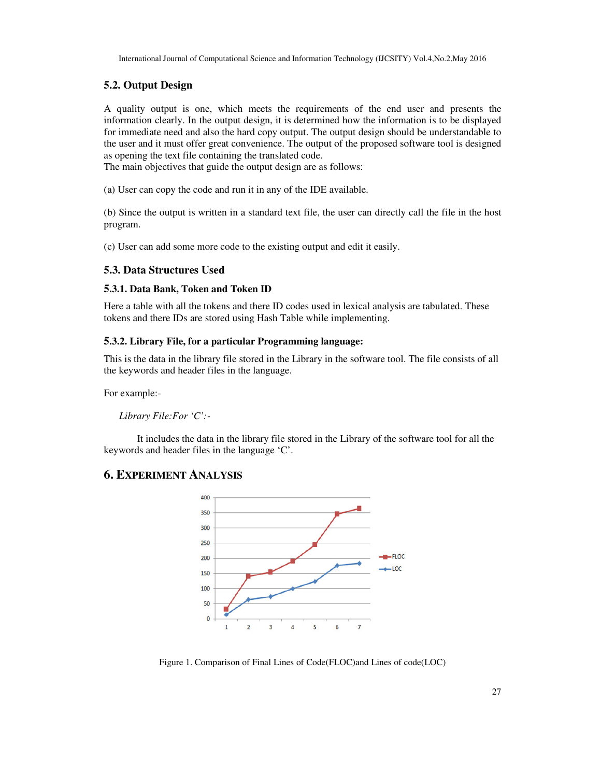## **5.2. Output Design**

A quality output is one, which meets the requirements of the end user and presents the information clearly. In the output design, it is determined how the information is to be displayed for immediate need and also the hard copy output. The output design should be understandable to the user and it must offer great convenience. The output of the proposed software tool is designed as opening the text file containing the translated code.

The main objectives that guide the output design are as follows:

(a) User can copy the code and run it in any of the IDE available.

(b) Since the output is written in a standard text file, the user can directly call the file in the host program.

(c) User can add some more code to the existing output and edit it easily.

#### **5.3. Data Structures Used**

#### **5.3.1. Data Bank, Token and Token ID**

Here a table with all the tokens and there ID codes used in lexical analysis are tabulated. These tokens and there IDs are stored using Hash Table while implementing.

#### **5.3.2. Library File, for a particular Programming language:**

This is the data in the library file stored in the Library in the software tool. The file consists of all the keywords and header files in the language.

For example:-

*Library File:For 'C':-*

 It includes the data in the library file stored in the Library of the software tool for all the keywords and header files in the language 'C'.

# **6. EXPERIMENT ANALYSIS**



Figure 1. Comparison of Final Lines of Code(FLOC)and Lines of code(LOC)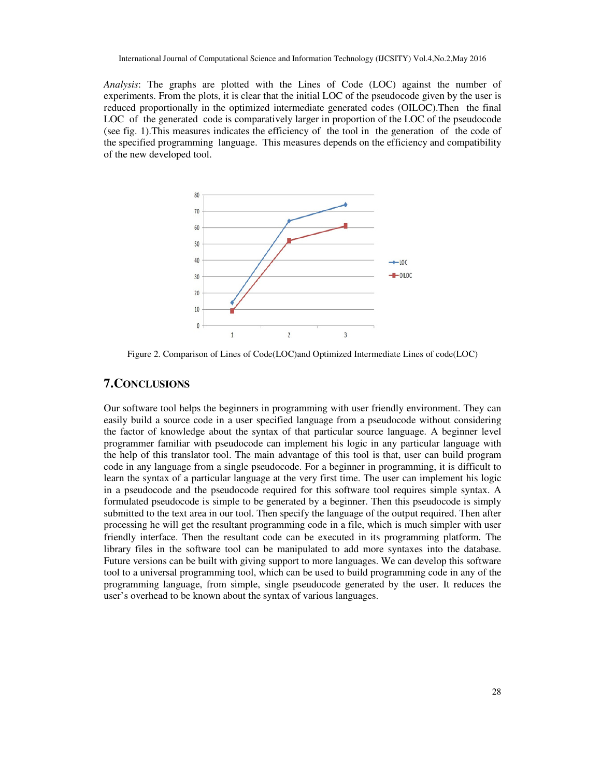*Analysis*: The graphs are plotted with the Lines of Code (LOC) against the number of experiments. From the plots, it is clear that the initial LOC of the pseudocode given by the user is reduced proportionally in the optimized intermediate generated codes (OILOC).Then the final LOC of the generated code is comparatively larger in proportion of the LOC of the pseudocode (see fig. 1).This measures indicates the efficiency of the tool in the generation of the code of the specified programming language. This measures depends on the efficiency and compatibility of the new developed tool.



Figure 2. Comparison of Lines of Code(LOC)and Optimized Intermediate Lines of code(LOC)

## **7.CONCLUSIONS**

Our software tool helps the beginners in programming with user friendly environment. They can easily build a source code in a user specified language from a pseudocode without considering the factor of knowledge about the syntax of that particular source language. A beginner level programmer familiar with pseudocode can implement his logic in any particular language with the help of this translator tool. The main advantage of this tool is that, user can build program code in any language from a single pseudocode. For a beginner in programming, it is difficult to learn the syntax of a particular language at the very first time. The user can implement his logic in a pseudocode and the pseudocode required for this software tool requires simple syntax. A formulated pseudocode is simple to be generated by a beginner. Then this pseudocode is simply submitted to the text area in our tool. Then specify the language of the output required. Then after processing he will get the resultant programming code in a file, which is much simpler with user friendly interface. Then the resultant code can be executed in its programming platform. The library files in the software tool can be manipulated to add more syntaxes into the database. Future versions can be built with giving support to more languages. We can develop this software tool to a universal programming tool, which can be used to build programming code in any of the programming language, from simple, single pseudocode generated by the user. It reduces the user's overhead to be known about the syntax of various languages.